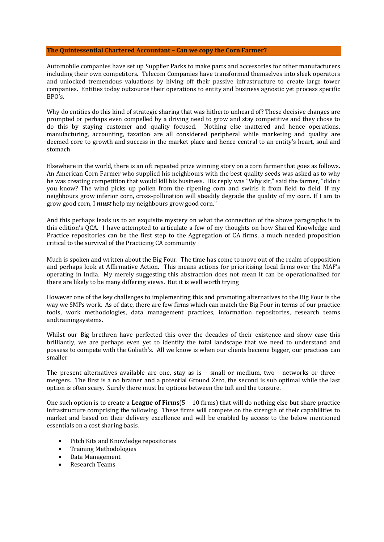## **The Quintessential Chartered Accountant – Can we copy the Corn Farmer?**

Automobile companies have set up Supplier Parks to make parts and accessories for other manufacturers including their own competitors. Telecom Companies have transformed themselves into sleek operators and unlocked tremendous valuations by hiving off their passive infrastructure to create large tower companies. Entities today outsource their operations to entity and business agnostic yet process specific  $BPO's$ .

Why do entities do this kind of strategic sharing that was hitherto unheard of? These decisive changes are prompted or perhaps even compelled by a driving need to grow and stay competitive and they chose to do this by staying customer and quality focused. Nothing else mattered and hence operations, manufacturing, accounting, taxation are all considered peripheral while marketing and quality are deemed core to growth and success in the market place and hence central to an entity's heart, soul and stomach

Elsewhere in the world, there is an oft repeated prize winning story on a corn farmer that goes as follows. An American Corn Farmer who supplied his neighbours with the best quality seeds was asked as to why he was creating competition that would kill his business. His reply was "Why sir," said the farmer, "didn't you know? The wind picks up pollen from the ripening corn and swirls it from field to field. If my neighbours grow inferior corn, cross-pollination will steadily degrade the quality of my corn. If I am to grow good corn, I *must* help my neighbours grow good corn."

And this perhaps leads us to an exquisite mystery on what the connection of the above paragraphs is to this edition's QCA. I have attempted to articulate a few of my thoughts on how Shared Knowledge and Practice repositories can be the first step to the Aggregation of CA firms, a much needed proposition critical to the survival of the Practicing CA community

Much is spoken and written about the Big Four. The time has come to move out of the realm of opposition and perhaps look at Affirmative Action. This means actions for prioritising local firms over the MAF's operating in India. My merely suggesting this abstraction does not mean it can be operationalized for there are likely to be many differing views. But it is well worth trying

However one of the key challenges to implementing this and promoting alternatives to the Big Four is the way we SMPs work. As of date, there are few firms which can match the Big Four in terms of our practice tools, work methodologies, data management practices, information repositories, research teams andtrainingsystems.

Whilst our Big brethren have perfected this over the decades of their existence and show case this brilliantly, we are perhaps even yet to identify the total landscape that we need to understand and possess to compete with the Goliath's. All we know is when our clients become bigger, our practices can smaller

The present alternatives available are one, stay as is – small or medium, two - networks or three mergers. The first is a no brainer and a potential Ground Zero, the second is sub optimal while the last option is often scary. Surely there must be options between the tuft and the tonsure.

One such option is to create a **League of Firms**(5 – 10 firms) that will do nothing else but share practice infrastructure comprising the following. These firms will compete on the strength of their capabilities to market and based on their delivery excellence and will be enabled by access to the below mentioned essentials on a cost sharing basis.

- Pitch Kits and Knowledge repositories<br>• Training Methodologies
- Training Methodologies
- Data Management
- Research Teams